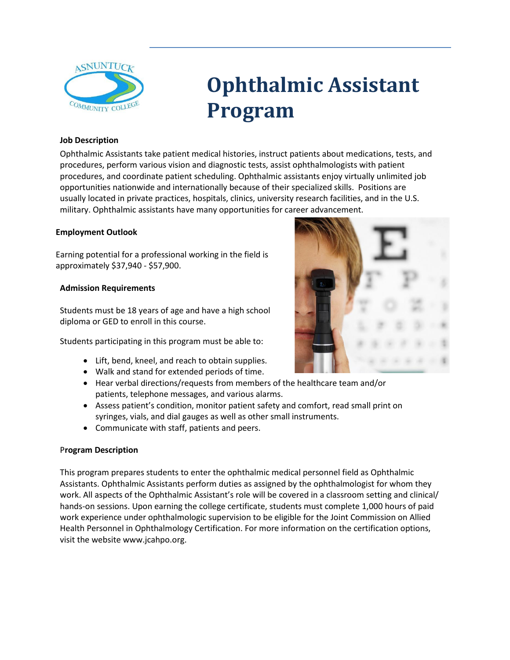

# **Ophthalmic Assistant Program**

## **Job Description**

Ophthalmic Assistants take patient medical histories, instruct patients about medications, tests, and procedures, perform various vision and diagnostic tests, assist ophthalmologists with patient procedures, and coordinate patient scheduling. Ophthalmic assistants enjoy virtually unlimited job opportunities nationwide and internationally because of their specialized skills. Positions are usually located in private practices, hospitals, clinics, university research facilities, and in the U.S. military. Ophthalmic assistants have many opportunities for career advancement.

## **Employment Outlook**

Earning potential for a professional working in the field is approximately \$37,940 - \$57,900.

## **Admission Requirements**

Students must be 18 years of age and have a high school diploma or GED to enroll in this course.

Students participating in this program must be able to:

- Lift, bend, kneel, and reach to obtain supplies.
- Walk and stand for extended periods of time.
- Hear verbal directions/requests from members of the healthcare team and/or patients, telephone messages, and various alarms.
- Assess patient's condition, monitor patient safety and comfort, read small print on syringes, vials, and dial gauges as well as other small instruments.
- Communicate with staff, patients and peers.

## P**rogram Description**

This program prepares students to enter the ophthalmic medical personnel field as Ophthalmic Assistants. Ophthalmic Assistants perform duties as assigned by the ophthalmologist for whom they work. All aspects of the Ophthalmic Assistant's role will be covered in a classroom setting and clinical/ hands-on sessions. Upon earning the college certificate, students must complete 1,000 hours of paid work experience under ophthalmologic supervision to be eligible for the Joint Commission on Allied Health Personnel in Ophthalmology Certification. For more information on the certification options, visit the websit[e www.jcahpo.org.](http://www.jcahpo.org/)